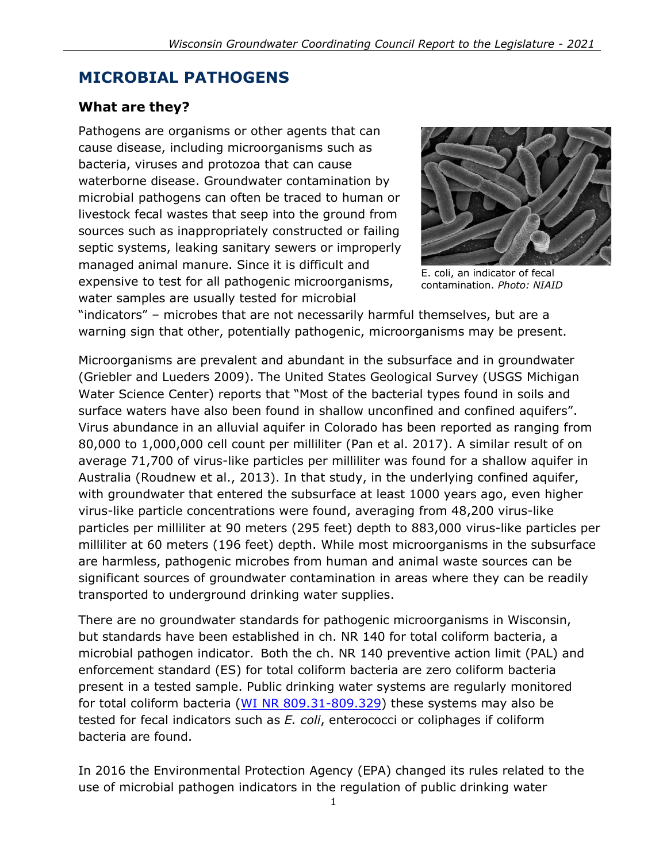# **MICROBIAL PATHOGENS**

#### **What are they?**

Pathogens are organisms or other agents that can cause disease, including microorganisms such as bacteria, viruses and protozoa that can cause waterborne disease. Groundwater contamination by microbial pathogens can often be traced to human or livestock fecal wastes that seep into the ground from sources such as inappropriately constructed or failing septic systems, leaking sanitary sewers or improperly managed animal manure. Since it is difficult and expensive to test for all pathogenic microorganisms, water samples are usually tested for microbial



E. coli, an indicator of fecal contamination. *Photo: NIAID*

"indicators" – microbes that are not necessarily harmful themselves, but are a warning sign that other, potentially pathogenic, microorganisms may be present.

Microorganisms are prevalent and abundant in the subsurface and in groundwater (Griebler and Lueders 2009). The United States Geological Survey (USGS Michigan Water Science Center) reports that "Most of the bacterial types found in soils and surface waters have also been found in shallow unconfined and confined aquifers". Virus abundance in an alluvial aquifer in Colorado has been reported as ranging from 80,000 to 1,000,000 cell count per milliliter (Pan et al. 2017). A similar result of on average 71,700 of virus-like particles per milliliter was found for a shallow aquifer in Australia (Roudnew et al., 2013). In that study, in the underlying confined aquifer, with groundwater that entered the subsurface at least 1000 years ago, even higher virus-like particle concentrations were found, averaging from 48,200 virus-like particles per milliliter at 90 meters (295 feet) depth to 883,000 virus-like particles per milliliter at 60 meters (196 feet) depth. While most microorganisms in the subsurface are harmless, pathogenic microbes from human and animal waste sources can be significant sources of groundwater contamination in areas where they can be readily transported to underground drinking water supplies.

There are no groundwater standards for pathogenic microorganisms in Wisconsin, but standards have been established in ch. NR 140 for total coliform bacteria, a microbial pathogen indicator. Both the ch. NR 140 preventive action limit (PAL) and enforcement standard (ES) for total coliform bacteria are zero coliform bacteria present in a tested sample. Public drinking water systems are regularly monitored for total coliform bacteria [\(WI NR 809.31-809.329\)](https://docs.legis.wisconsin.gov/code/admin_code/nr/800/809/I/31) these systems may also be tested for fecal indicators such as *E. coli*, enterococci or coliphages if coliform bacteria are found.

In 2016 the Environmental Protection Agency (EPA) changed its rules related to the use of microbial pathogen indicators in the regulation of public drinking water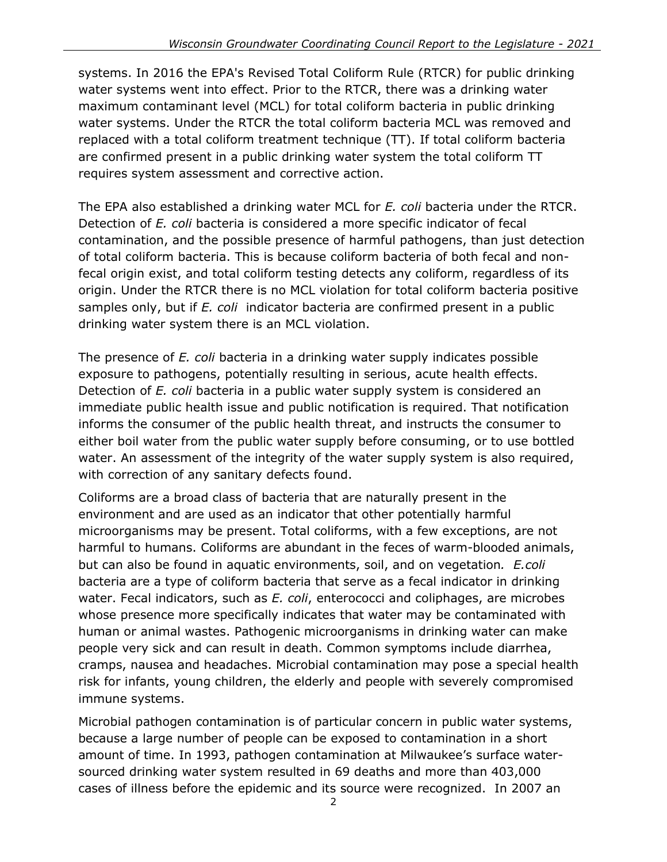systems. In 2016 the EPA's Revised Total Coliform Rule (RTCR) for public drinking water systems went into effect. Prior to the RTCR, there was a drinking water maximum contaminant level (MCL) for total coliform bacteria in public drinking water systems. Under the RTCR the total coliform bacteria MCL was removed and replaced with a total coliform treatment technique (TT). If total coliform bacteria are confirmed present in a public drinking water system the total coliform TT requires system assessment and corrective action.

The EPA also established a drinking water MCL for *E. coli* bacteria under the RTCR. Detection of *E. coli* bacteria is considered a more specific indicator of fecal contamination, and the possible presence of harmful pathogens, than just detection of total coliform bacteria. This is because coliform bacteria of both fecal and nonfecal origin exist, and total coliform testing detects any coliform, regardless of its origin. Under the RTCR there is no MCL violation for total coliform bacteria positive samples only, but if *E. coli* indicator bacteria are confirmed present in a public drinking water system there is an MCL violation.

The presence of *E. coli* bacteria in a drinking water supply indicates possible exposure to pathogens, potentially resulting in serious, acute health effects. Detection of *E. coli* bacteria in a public water supply system is considered an immediate public health issue and public notification is required. That notification informs the consumer of the public health threat, and instructs the consumer to either boil water from the public water supply before consuming, or to use bottled water. An assessment of the integrity of the water supply system is also required, with correction of any sanitary defects found.

Coliforms are a broad class of bacteria that are naturally present in the environment and are used as an indicator that other potentially harmful microorganisms may be present. Total coliforms, with a few exceptions, are not harmful to humans. Coliforms are abundant in the feces of warm-blooded animals, but can also be found in aquatic environments, soil, and on vegetation*. E.coli* bacteria are a type of coliform bacteria that serve as a fecal indicator in drinking water. Fecal indicators, such as *E. coli*, enterococci and coliphages, are microbes whose presence more specifically indicates that water may be contaminated with human or animal wastes. Pathogenic microorganisms in drinking water can make people very sick and can result in death. Common symptoms include diarrhea, cramps, nausea and headaches. Microbial contamination may pose a special health risk for infants, young children, the elderly and people with severely compromised immune systems.

Microbial pathogen contamination is of particular concern in public water systems, because a large number of people can be exposed to contamination in a short amount of time. In 1993, pathogen contamination at Milwaukee's surface watersourced drinking water system resulted in 69 deaths and more than 403,000 cases of illness before the epidemic and its source were recognized. In 2007 an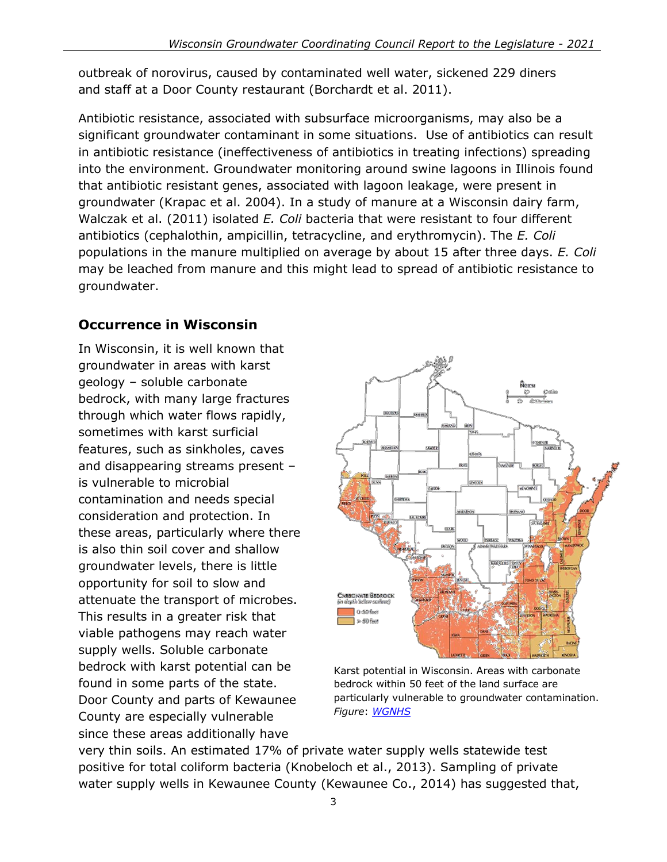outbreak of norovirus, caused by contaminated well water, sickened 229 diners and staff at a Door County restaurant (Borchardt et al. 2011).

Antibiotic resistance, associated with subsurface microorganisms, may also be a significant groundwater contaminant in some situations. Use of antibiotics can result in antibiotic resistance (ineffectiveness of antibiotics in treating infections) spreading into the environment. Groundwater monitoring around swine lagoons in Illinois found that antibiotic resistant genes, associated with lagoon leakage, were present in groundwater (Krapac et al. 2004). In a study of manure at a Wisconsin dairy farm, Walczak et al. (2011) isolated *E. Coli* bacteria that were resistant to four different antibiotics (cephalothin, ampicillin, tetracycline, and erythromycin). The *E. Coli* populations in the manure multiplied on average by about 15 after three days. *E. Coli* may be leached from manure and this might lead to spread of antibiotic resistance to groundwater.

### **Occurrence in Wisconsin**

In Wisconsin, it is well known that groundwater in areas with karst geology – soluble carbonate bedrock, with many large fractures through which water flows rapidly, sometimes with karst surficial features, such as sinkholes, caves and disappearing streams present – is vulnerable to microbial contamination and needs special consideration and protection. In these areas, particularly where there is also thin soil cover and shallow groundwater levels, there is little opportunity for soil to slow and attenuate the transport of microbes. This results in a greater risk that viable pathogens may reach water supply wells. Soluble carbonate bedrock with karst potential can be found in some parts of the state. Door County and parts of Kewaunee County are especially vulnerable since these areas additionally have



Karst potential in Wisconsin. Areas with carbonate bedrock within 50 feet of the land surface are particularly vulnerable to groundwater contamination. *Figure*: *[WGNHS](https://wgnhs.uwex.edu/water-environment/karst-sinkholes/)*

very thin soils. An estimated 17% of private water supply wells statewide test positive for total coliform bacteria (Knobeloch et al., 2013). Sampling of private water supply wells in Kewaunee County (Kewaunee Co., 2014) has suggested that,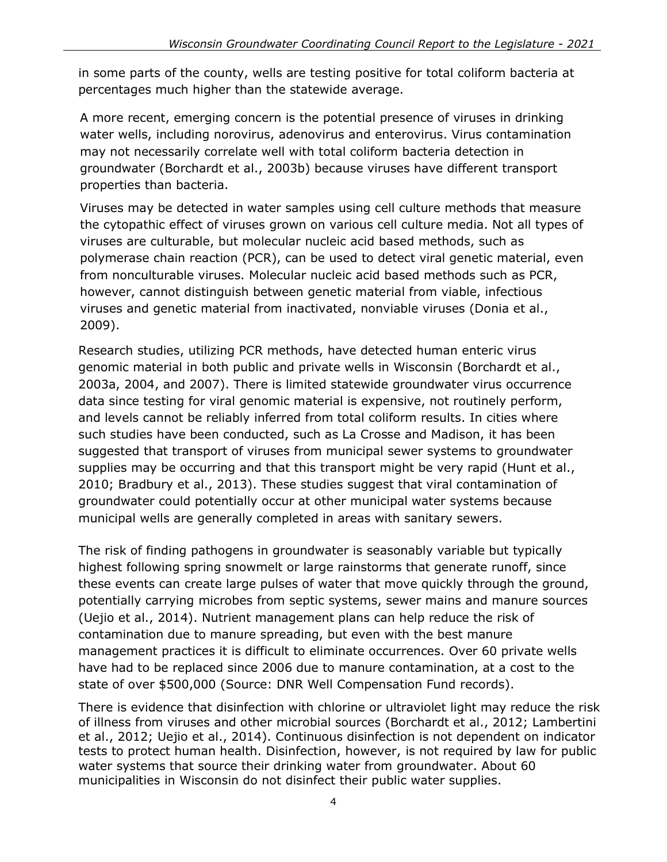in some parts of the county, wells are testing positive for total coliform bacteria at percentages much higher than the statewide average.

A more recent, emerging concern is the potential presence of viruses in drinking water wells, including norovirus, adenovirus and enterovirus. Virus contamination may not necessarily correlate well with total coliform bacteria detection in groundwater (Borchardt et al., 2003b) because viruses have different transport properties than bacteria.

Viruses may be detected in water samples using cell culture methods that measure the cytopathic effect of viruses grown on various cell culture media. Not all types of viruses are culturable, but molecular nucleic acid based methods, such as polymerase chain reaction (PCR), can be used to detect viral genetic material, even from nonculturable viruses. Molecular nucleic acid based methods such as PCR, however, cannot distinguish between genetic material from viable, infectious viruses and genetic material from inactivated, nonviable viruses (Donia et al., 2009).

Research studies, utilizing PCR methods, have detected human enteric virus genomic material in both public and private wells in Wisconsin (Borchardt et al., 2003a, 2004, and 2007). There is limited statewide groundwater virus occurrence data since testing for viral genomic material is expensive, not routinely perform, and levels cannot be reliably inferred from total coliform results. In cities where such studies have been conducted, such as La Crosse and Madison, it has been suggested that transport of viruses from municipal sewer systems to groundwater supplies may be occurring and that this transport might be very rapid (Hunt et al., 2010; Bradbury et al., 2013). These studies suggest that viral contamination of groundwater could potentially occur at other municipal water systems because municipal wells are generally completed in areas with sanitary sewers.

The risk of finding pathogens in groundwater is seasonably variable but typically highest following spring snowmelt or large rainstorms that generate runoff, since these events can create large pulses of water that move quickly through the ground, potentially carrying microbes from septic systems, sewer mains and manure sources (Uejio et al., 2014). Nutrient management plans can help reduce the risk of contamination due to manure spreading, but even with the best manure management practices it is difficult to eliminate occurrences. Over 60 private wells have had to be replaced since 2006 due to manure contamination, at a cost to the state of over \$500,000 (Source: DNR Well Compensation Fund records).

There is evidence that disinfection with chlorine or ultraviolet light may reduce the risk of illness from viruses and other microbial sources (Borchardt et al., 2012; Lambertini et al., 2012; Uejio et al., 2014). Continuous disinfection is not dependent on indicator tests to protect human health. Disinfection, however, is not required by law for public water systems that source their drinking water from groundwater. About 60 municipalities in Wisconsin do not disinfect their public water supplies.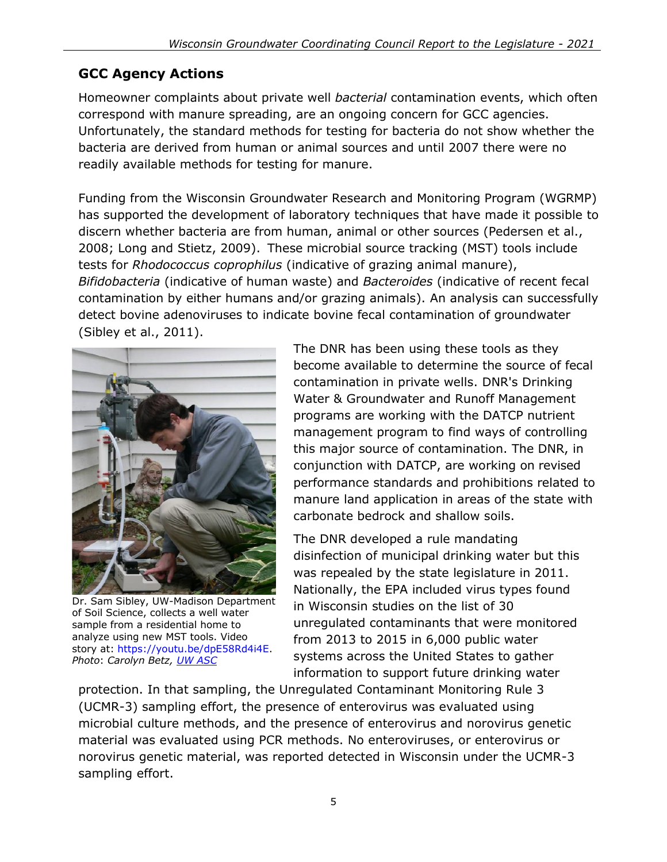# **GCC Agency Actions**

Homeowner complaints about private well *bacterial* contamination events, which often correspond with manure spreading, are an ongoing concern for GCC agencies. Unfortunately, the standard methods for testing for bacteria do not show whether the bacteria are derived from human or animal sources and until 2007 there were no readily available methods for testing for manure.

Funding from the Wisconsin Groundwater Research and Monitoring Program (WGRMP) has supported the development of laboratory techniques that have made it possible to discern whether bacteria are from human, animal or other sources (Pedersen et al., 2008; Long and Stietz, 2009). These microbial source tracking (MST) tools include tests for *Rhodococcus coprophilus* (indicative of grazing animal manure), *Bifidobacteria* (indicative of human waste) and *Bacteroides* (indicative of recent fecal contamination by either humans and/or grazing animals). An analysis can successfully detect bovine adenoviruses to indicate bovine fecal contamination of groundwater (Sibley et al., 2011).



Dr. Sam Sibley, UW-Madison Department of Soil Science, collects a well water sample from a residential home to analyze using new MST tools. Video story at: [https://youtu.be/dpE58Rd4i4E.](https://youtu.be/dpE58Rd4i4E) *Photo*: *Carolyn Betz, UW [ASC](https://www.flickr.com/photos/uwiscseagrant/)*

The DNR has been using these tools as they become available to determine the source of fecal contamination in private wells. DNR's Drinking Water & Groundwater and Runoff Management programs are working with the DATCP nutrient management program to find ways of controlling this major source of contamination. The DNR, in conjunction with DATCP, are working on revised performance standards and prohibitions related to manure land application in areas of the state with carbonate bedrock and shallow soils.

The DNR developed a rule mandating disinfection of municipal drinking water but this was repealed by the state legislature in 2011. Nationally, the EPA included virus types found in Wisconsin studies on the list of 30 unregulated contaminants that were monitored from 2013 to 2015 in 6,000 public water systems across the United States to gather information to support future drinking water

protection. In that sampling, the Unregulated Contaminant Monitoring Rule 3 (UCMR-3) sampling effort, the presence of enterovirus was evaluated using microbial culture methods, and the presence of enterovirus and norovirus genetic material was evaluated using PCR methods. No enteroviruses, or enterovirus or norovirus genetic material, was reported detected in Wisconsin under the UCMR-3 sampling effort.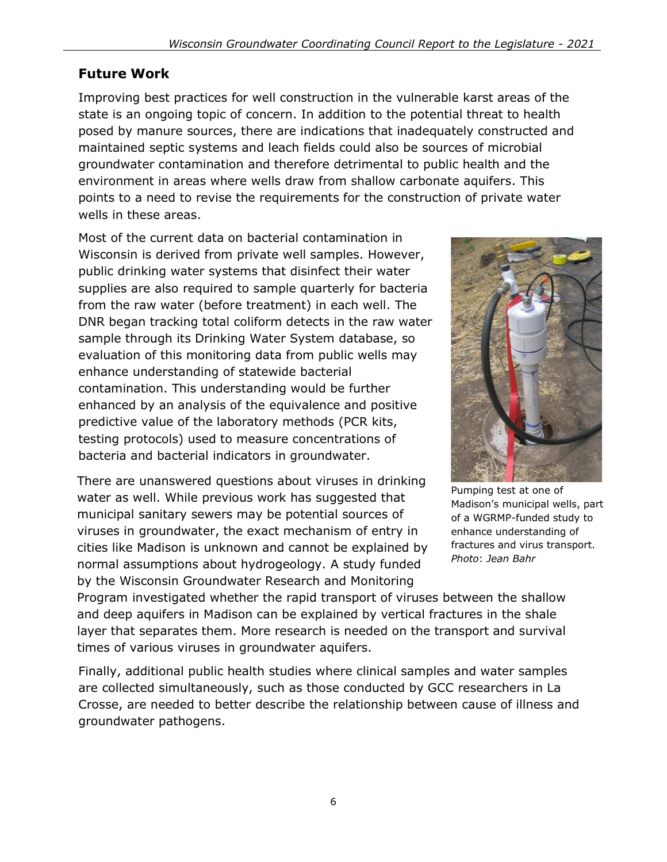## **Future Work**

Improving best practices for well construction in the vulnerable karst areas of the state is an ongoing topic of concern. In addition to the potential threat to health posed by manure sources, there are indications that inadequately constructed and maintained septic systems and leach fields could also be sources of microbial groundwater contamination and therefore detrimental to public health and the environment in areas where wells draw from shallow carbonate aquifers. This points to a need to revise the requirements for the construction of private water wells in these areas.

Most of the current data on bacterial contamination in Wisconsin is derived from private well samples. However, public drinking water systems that disinfect their water supplies are also required to sample quarterly for bacteria from the raw water (before treatment) in each well. The DNR began tracking total coliform detects in the raw water sample through its Drinking Water System database, so evaluation of this monitoring data from public wells may enhance understanding of statewide bacterial contamination. This understanding would be further enhanced by an analysis of the equivalence and positive predictive value of the laboratory methods (PCR kits, testing protocols) used to measure concentrations of bacteria and bacterial indicators in groundwater.

There are unanswered questions about viruses in drinking water as well. While previous work has suggested that municipal sanitary sewers may be potential sources of viruses in groundwater, the exact mechanism of entry in cities like Madison is unknown and cannot be explained by normal assumptions about hydrogeology. A study funded by the Wisconsin Groundwater Research and Monitoring



Pumping test at one of Madison's municipal wells, part of a WGRMP-funded study to enhance understanding of fractures and virus transport. *Photo*: *Jean Bahr*

Program investigated whether the rapid transport of viruses between the shallow and deep aquifers in Madison can be explained by vertical fractures in the shale layer that separates them. More research is needed on the transport and survival times of various viruses in groundwater aquifers.

Finally, additional public health studies where clinical samples and water samples are collected simultaneously, such as those conducted by GCC researchers in La Crosse, are needed to better describe the relationship between cause of illness and groundwater pathogens.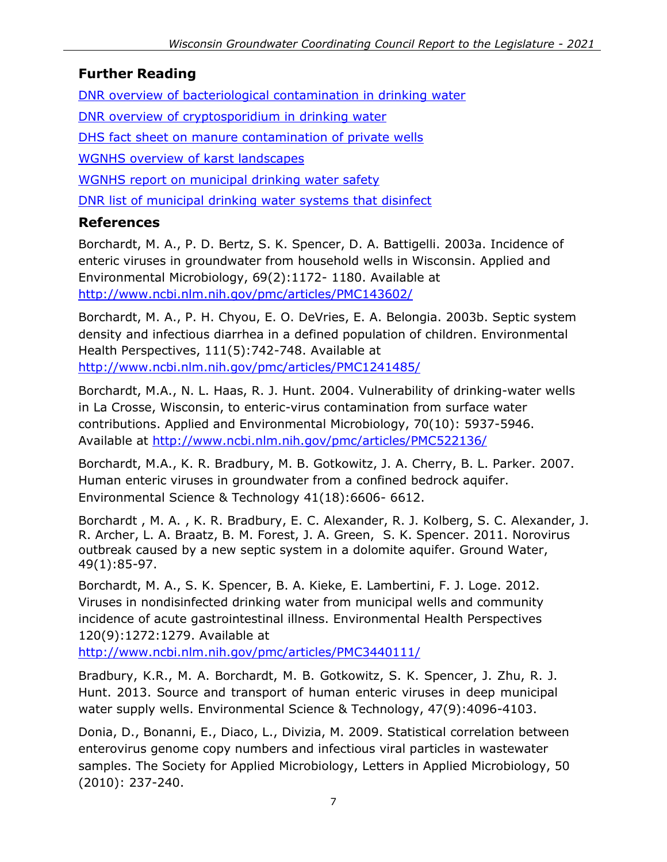### **Further Reading**

[DNR overview of bacteriological contamination in drinking](https://dnr.wi.gov/files/PDF/pubs/DG/DG0003.pdf) water

[DNR overview of cryptosporidium in drinking water](https://dnr.wi.gov/files/PDF/pubs/DG/DG0034.pdf)

[DHS fact sheet on manure contamination of private wells](https://www.dhs.wisconsin.gov/publications/p02952.pdf)

[WGNHS overview of karst landscapes](https://wgnhs.wisc.edu/water-environment/karst-sinkholes/)

[WGNHS report on municipal drinking water safety](https://wgnhs.wisc.edu/catalog/publication/000919/resource/es053)

[DNR list of municipal drinking water systems that disinfect](https://dnr.wi.gov/topic/drinkingwater/documents/municipaldisinfectlist.pdf)

#### **References**

Borchardt, M. A., P. D. Bertz, S. K. Spencer, D. A. Battigelli. 2003a. Incidence of enteric viruses in groundwater from household wells in Wisconsin. Applied and Environmental Microbiology, 69(2):1172- 1180. Available at <http://www.ncbi.nlm.nih.gov/pmc/articles/PMC143602/>

Borchardt, M. A., P. H. Chyou, E. O. DeVries, E. A. Belongia. 2003b. Septic system density and infectious diarrhea in a defined population of children. Environmental Health Perspectives, 111(5):742-748. Available at <http://www.ncbi.nlm.nih.gov/pmc/articles/PMC1241485/>

Borchardt, M.A., N. L. Haas, R. J. Hunt. 2004. Vulnerability of drinking-water wells in La Crosse, Wisconsin, to enteric-virus contamination from surface water contributions. Applied and Environmental Microbiology, 70(10): 5937-5946. Available at <http://www.ncbi.nlm.nih.gov/pmc/articles/PMC522136/>

Borchardt, M.A., K. R. Bradbury, M. B. Gotkowitz, J. A. Cherry, B. L. Parker. 2007. Human enteric viruses in groundwater from a confined bedrock aquifer. Environmental Science & Technology 41(18):6606- 6612.

Borchardt , M. A. , K. R. Bradbury, E. C. Alexander, R. J. Kolberg, S. C. Alexander, J. R. Archer, L. A. Braatz, B. M. Forest, J. A. Green, S. K. Spencer. 2011. Norovirus outbreak caused by a new septic system in a dolomite aquifer. Ground Water, 49(1):85-97.

Borchardt, M. A., S. K. Spencer, B. A. Kieke, E. Lambertini, F. J. Loge. 2012. Viruses in nondisinfected drinking water from municipal wells and community incidence of acute gastrointestinal illness. Environmental Health Perspectives 120(9):1272:1279. Available at

<http://www.ncbi.nlm.nih.gov/pmc/articles/PMC3440111/>

Bradbury, K.R., M. A. Borchardt, M. B. Gotkowitz, S. K. Spencer, J. Zhu, R. J. Hunt. 2013. Source and transport of human enteric viruses in deep municipal water supply wells. Environmental Science & Technology, 47(9):4096-4103.

Donia, D., Bonanni, E., Diaco, L., Divizia, M. 2009. Statistical correlation between enterovirus genome copy numbers and infectious viral particles in wastewater samples. The Society for Applied Microbiology, Letters in Applied Microbiology, 50 (2010): 237-240.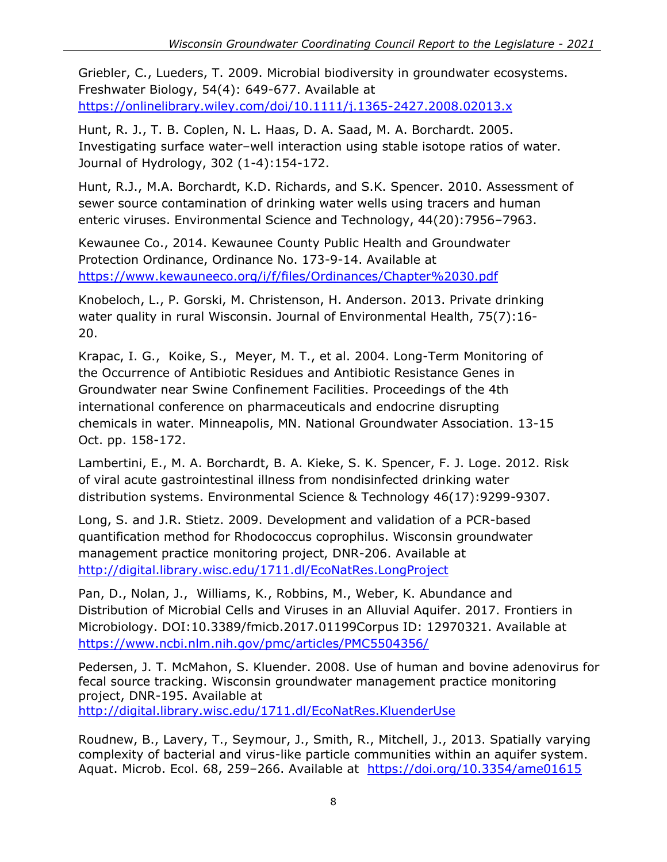Griebler, C., Lueders, T. 2009. Microbial biodiversity in groundwater ecosystems. Freshwater Biology, 54(4): 649-677. Available at <https://onlinelibrary.wiley.com/doi/10.1111/j.1365-2427.2008.02013.x>

Hunt, R. J., T. B. Coplen, N. L. Haas, D. A. Saad, M. A. Borchardt. 2005. Investigating surface water–well interaction using stable isotope ratios of water. Journal of Hydrology, 302 (1-4):154-172.

Hunt, R.J., M.A. Borchardt, K.D. Richards, and S.K. Spencer. 2010. Assessment of sewer source contamination of drinking water wells using tracers and human enteric viruses. Environmental Science and Technology, 44(20):7956–7963.

Kewaunee Co., 2014. Kewaunee County Public Health and Groundwater Protection Ordinance, Ordinance No. 173-9-14. Available at <https://www.kewauneeco.org/i/f/files/Ordinances/Chapter%2030.pdf>

Knobeloch, L., P. Gorski, M. Christenson, H. Anderson. 2013. Private drinking water quality in rural Wisconsin. Journal of Environmental Health, 75(7):16- 20.

Krapac, I. G., Koike, S., Meyer, M. T., et al. 2004. Long-Term Monitoring of the Occurrence of Antibiotic Residues and Antibiotic Resistance Genes in Groundwater near Swine Confinement Facilities. Proceedings of the 4th international conference on pharmaceuticals and endocrine disrupting chemicals in water. Minneapolis, MN. National Groundwater Association. 13-15 Oct. pp. 158-172.

Lambertini, E., M. A. Borchardt, B. A. Kieke, S. K. Spencer, F. J. Loge. 2012. Risk of viral acute gastrointestinal illness from nondisinfected drinking water distribution systems. Environmental Science & Technology 46(17):9299-9307.

Long, S. and J.R. Stietz. 2009. Development and validation of a PCR-based quantification method for Rhodococcus coprophilus. Wisconsin groundwater management practice monitoring project, DNR-206. Available at <http://digital.library.wisc.edu/1711.dl/EcoNatRes.LongProject>

Pan, D., Nolan, J., Williams, K., Robbins, M., Weber, K. Abundance and Distribution of Microbial Cells and Viruses in an Alluvial Aquifer. 2017. Frontiers in Microbiology. DOI:10.3389/fmicb.2017.01199Corpus ID: 12970321. Available at <https://www.ncbi.nlm.nih.gov/pmc/articles/PMC5504356/>

Pedersen, J. T. McMahon, S. Kluender. 2008. Use of human and bovine adenovirus for fecal source tracking. Wisconsin groundwater management practice monitoring project, DNR-195. Available at <http://digital.library.wisc.edu/1711.dl/EcoNatRes.KluenderUse>

Roudnew, B., Lavery, T., Seymour, J., Smith, R., Mitchell, J., 2013. Spatially varying complexity of bacterial and virus-like particle communities within an aquifer system. Aquat. Microb. Ecol. 68, 259-266. Available at <https://doi.org/10.3354/ame01615>